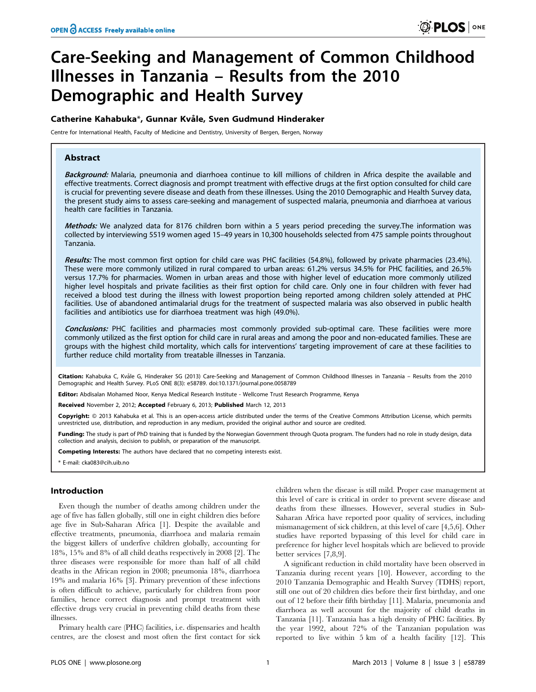# Care-Seeking and Management of Common Childhood Illnesses in Tanzania – Results from the 2010 Demographic and Health Survey

## Catherine Kahabuka\*, Gunnar Kvåle, Sven Gudmund Hinderaker

Centre for International Health, Faculty of Medicine and Dentistry, University of Bergen, Bergen, Norway

## Abstract

Background: Malaria, pneumonia and diarrhoea continue to kill millions of children in Africa despite the available and effective treatments. Correct diagnosis and prompt treatment with effective drugs at the first option consulted for child care is crucial for preventing severe disease and death from these illnesses. Using the 2010 Demographic and Health Survey data, the present study aims to assess care-seeking and management of suspected malaria, pneumonia and diarrhoea at various health care facilities in Tanzania.

Methods: We analyzed data for 8176 children born within a 5 years period preceding the survey.The information was collected by interviewing 5519 women aged 15–49 years in 10,300 households selected from 475 sample points throughout Tanzania.

Results: The most common first option for child care was PHC facilities (54.8%), followed by private pharmacies (23.4%). These were more commonly utilized in rural compared to urban areas: 61.2% versus 34.5% for PHC facilities, and 26.5% versus 17.7% for pharmacies. Women in urban areas and those with higher level of education more commonly utilized higher level hospitals and private facilities as their first option for child care. Only one in four children with fever had received a blood test during the illness with lowest proportion being reported among children solely attended at PHC facilities. Use of abandoned antimalarial drugs for the treatment of suspected malaria was also observed in public health facilities and antibiotics use for diarrhoea treatment was high (49.0%).

Conclusions: PHC facilities and pharmacies most commonly provided sub-optimal care. These facilities were more commonly utilized as the first option for child care in rural areas and among the poor and non-educated families. These are groups with the highest child mortality, which calls for interventions' targeting improvement of care at these facilities to further reduce child mortality from treatable illnesses in Tanzania.

Citation: Kahabuka C, Kvåle G, Hinderaker SG (2013) Care-Seeking and Management of Common Childhood Illnesses in Tanzania - Results from the 2010 Demographic and Health Survey. PLoS ONE 8(3): e58789. doi:10.1371/journal.pone.0058789

Editor: Abdisalan Mohamed Noor, Kenya Medical Research Institute - Wellcome Trust Research Programme, Kenya

Received November 2, 2012; Accepted February 6, 2013; Published March 12, 2013

Copyright: © 2013 Kahabuka et al. This is an open-access article distributed under the terms of the Creative Commons Attribution License, which permits unrestricted use, distribution, and reproduction in any medium, provided the original author and source are credited.

Funding: The study is part of PhD training that is funded by the Norwegian Government through Quota program. The funders had no role in study design, data collection and analysis, decision to publish, or preparation of the manuscript.

Competing Interests: The authors have declared that no competing interests exist.

\* E-mail: cka083@cih.uib.no

## Introduction

Even though the number of deaths among children under the age of five has fallen globally, still one in eight children dies before age five in Sub-Saharan Africa [1]. Despite the available and effective treatments, pneumonia, diarrhoea and malaria remain the biggest killers of underfive children globally, accounting for 18%, 15% and 8% of all child deaths respectively in 2008 [2]. The three diseases were responsible for more than half of all child deaths in the African region in 2008; pneumonia 18%, diarrhoea 19% and malaria 16% [3]. Primary prevention of these infections is often difficult to achieve, particularly for children from poor families, hence correct diagnosis and prompt treatment with effective drugs very crucial in preventing child deaths from these illnesses.

Primary health care (PHC) facilities, i.e. dispensaries and health centres, are the closest and most often the first contact for sick

children when the disease is still mild. Proper case management at this level of care is critical in order to prevent severe disease and deaths from these illnesses. However, several studies in Sub-Saharan Africa have reported poor quality of services, including mismanagement of sick children, at this level of care [4,5,6]. Other studies have reported bypassing of this level for child care in preference for higher level hospitals which are believed to provide better services [7,8,9].

A significant reduction in child mortality have been observed in Tanzania during recent years [10]. However, according to the 2010 Tanzania Demographic and Health Survey (TDHS) report, still one out of 20 children dies before their first birthday, and one out of 12 before their fifth birthday [11]. Malaria, pneumonia and diarrhoea as well account for the majority of child deaths in Tanzania [11]. Tanzania has a high density of PHC facilities. By the year 1992, about 72% of the Tanzanian population was reported to live within 5 km of a health facility [12]. This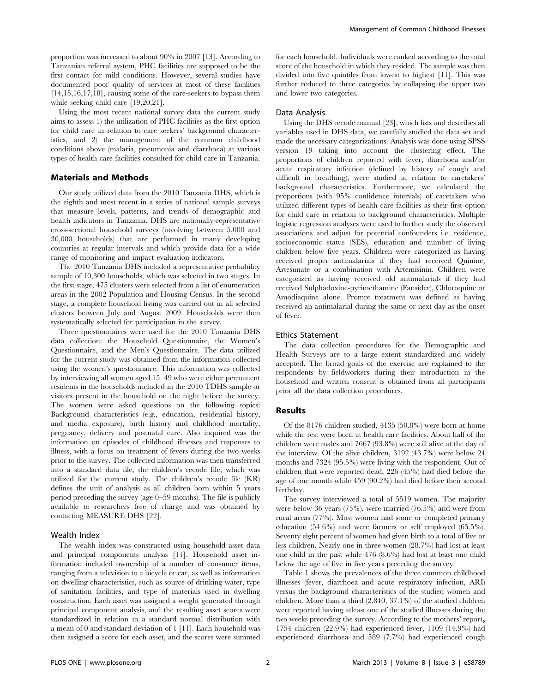proportion was increased to about 90% in 2007 [13]. According to Tanzanian referral system, PHC facilities are supposed to be the first contact for mild conditions. However, several studies have documented poor quality of services at most of these facilities [14,15,16,17,18], causing some of the care-seekers to bypass them while seeking child care [19,20,21].

Using the most recent national survey data the current study aims to assess 1) the utilization of PHC facilities as the first option for child care in relation to care seekers' background characteristics, and 2) the management of the common childhood conditions above (malaria, pneumonia and diarrhoea) at various types of health care facilities consulted for child care in Tanzania.

## Materials and Methods

Our study utilized data from the 2010 Tanzania DHS, which is the eighth and most recent in a series of national sample surveys that measure levels, patterns, and trends of demographic and health indicators in Tanzania. DHS are nationally-representative cross-sectional household surveys (involving between 5,000 and 30,000 households) that are performed in many developing countries at regular intervals and which provide data for a wide range of monitoring and impact evaluation indicators.

The 2010 Tanzania DHS included a representative probability sample of 10,300 households, which was selected in two stages. In the first stage, 475 clusters were selected from a list of enumeration areas in the 2002 Population and Housing Census. In the second stage, a complete household listing was carried out in all selected clusters between July and August 2009. Households were then systematically selected for participation in the survey.

Three questionnaires were used for the 2010 Tanzania DHS data collection: the Household Questionnaire, the Women's Questionnaire, and the Men's Questionnaire. The data utilized for the current study was obtained from the information collected using the women's questionnaire. This information was collected by interviewing all women aged 15–49 who were either permanent residents in the households included in the 2010 TDHS sample or visitors present in the household on the night before the survey. The women were asked questions on the following topics: Background characteristics (e.g., education, residential history, and media exposure), birth history and childhood mortality, pregnancy, delivery and postnatal care. Also inquired was the information on episodes of childhood illnesses and responses to illness, with a focus on treatment of fevers during the two weeks prior to the survey. The collected information was then transferred into a standard data file, the children's recode file, which was utilized for the current study. The children's recode file (KR) defines the unit of analysis as all children born within 5 years period preceding the survey (age 0–59 months). The file is publicly available to researchers free of charge and was obtained by contacting MEASURE DHS [22].

## Wealth Index

The wealth index was constructed using household asset data and principal components analysis [11]. Household asset information included ownership of a number of consumer items, ranging from a television to a bicycle or car, as well as information on dwelling characteristics, such as source of drinking water, type of sanitation facilities, and type of materials used in dwelling construction. Each asset was assigned a weight generated through principal component analysis, and the resulting asset scores were standardized in relation to a standard normal distribution with a mean of 0 and standard deviation of 1 [11]. Each household was then assigned a score for each asset, and the scores were summed for each household. Individuals were ranked according to the total score of the household in which they resided. The sample was then divided into five quintiles from lowest to highest [11]. This was further reduced to three categories by collapsing the upper two and lower two categories.

## Data Analysis

Using the DHS recode manual [23], which lists and describes all variables used in DHS data, we carefully studied the data set and made the necessary categorizations. Analysis was done using SPSS version 19 taking into account the clustering effect. The proportions of children reported with fever, diarrhoea and/or acute respiratory infection (defined by history of cough and difficult in breathing), were studied in relation to caretakers' background characteristics. Furthermore, we calculated the proportions (with 95% confidence intervals) of caretakers who utilized different types of health care facilities as their first option for child care in relation to background characteristics. Multiple logistic regression analyses were used to further study the observed associations and adjust for potential confounders i.e. residence, socioeconomic status (SES), education and number of living children below five years. Children were categorized as having received proper antimalarials if they had received Quinine, Artesunate or a combination with Artemisinin. Children were categorized as having received old antimalarials if they had received Sulphadoxine-pyrimethamine (Fansider), Chloroquine or Amodiaquine alone. Prompt treatment was defined as having received an antimalarial during the same or next day as the onset of fever.

## Ethics Statement

The data collection procedures for the Demographic and Health Surveys are to a large extent standardized and widely accepted. The broad goals of the exercise are explained to the respondents by fieldworkers during their introduction in the household and written consent is obtained from all participants prior all the data collection procedures.

## Results

Of the 8176 children studied, 4135 (50.8%) were born at home while the rest were born at health care facilities. About half of the children were males and 7667 (93.8%) were still alive at the day of the interview. Of the alive children, 3192 (43.7%) were below 24 months and 7324 (95.5%) were living with the respondent. Out of children that were reported dead, 226 (45%) had died before the age of one month while 459 (90.2%) had died before their second birthday.

The survey interviewed a total of 5519 women. The majority were below 36 years (75%), were married (76.5%) and were from rural areas (77%). Most women had some or completed primary education (54.6%) and were farmers or self employed (65.5%). Seventy eight percent of women had given birth to a total of five or less children. Nearly one in three women (28.7%) had lost at least one child in the past while 476 (8.6%) had lost at least one child below the age of five in five years preceding the survey.

Table 1 shows the prevalences of the three common childhood illnesses (fever, diarrhoea and acute respiratory infection, ARI) versus the background characteristics of the studied women and children. More than a third (2,840, 37.1%) of the studied children were reported having atleast one of the studied illnesses during the two weeks preceding the survey. According to the mothers' report, 1754 children (22.9%) had experienced fever, 1109 (14.9%) had experienced diarrhoea and 589 (7.7%) had experienced cough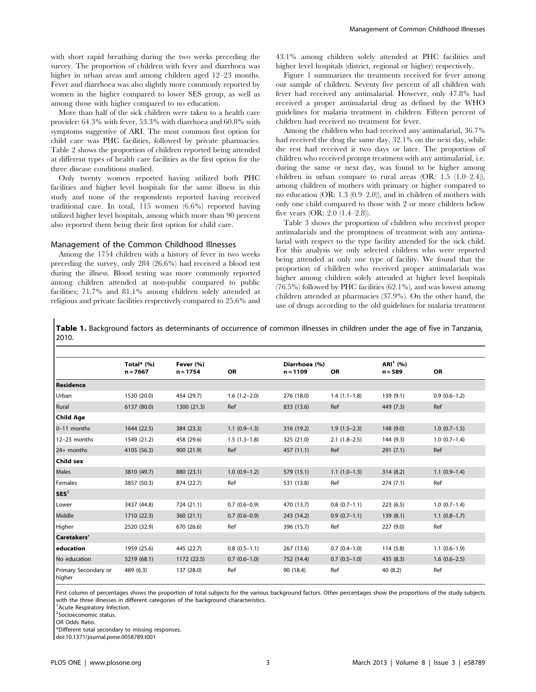with short rapid breathing during the two weeks preceding the survey. The proportion of children with fever and diarrhoea was higher in urban areas and among children aged 12–23 months. Fever and diarrhoea was also slightly more commonly reported by women in the higher compared to lower SES group, as well as among those with higher compared to no education.

More than half of the sick children were taken to a health care provider: 64.3% with fever, 53.3% with diarrhoea and 60.8% with symptoms suggestive of ARI. The most common first option for child care was PHC facilities, followed by private pharmacies. Table 2 shows the proportion of children reported being attended at different types of health care facilities as the first option for the three disease conditions studied.

Only twenty women reported having utilized both PHC facilities and higher level hospitals for the same illness in this study and none of the respondents reported having received traditional care. In total, 115 women (6.6%) reported having utilized higher level hospitals, among which more than 90 percent also reported them being their first option for child care.

#### Management of the Common Childhood Illnesses

Among the 1754 children with a history of fever in two weeks preceding the survey, only 284 (26.6%) had received a blood test during the illness. Blood testing was more commonly reported among children attended at non-public compared to public facilities; 71.7% and 81.1% among children solely attended at religious and private facilities respectively compared to 25.6% and 43.1% among children solely attended at PHC facilities and higher level hospitals (district, regional or higher) respectively.

Figure 1 summarizes the treatments received for fever among our sample of children. Seventy five percent of all children with fever had received any antimalarial. However, only 47.8% had received a proper antimalarial drug as defined by the WHO guidelines for malaria treatment in children. Fifteen percent of children had received no treatment for fever.

Among the children who had received any antimalarial, 36.7% had received the drug the same day, 32.1% on the next day, while the rest had received it two days or later. The proportion of children who received prompt treatment with any antimalarial, i.e. during the same or next day, was found to be higher among children in urban compare to rural areas  $(OR: 1.5 (1.0–2.4)),$ among children of mothers with primary or higher compared to no education (OR: 1.3 (0.9–2.0)), and in children of mothers with only one child compared to those with 2 or more children below five years (OR: 2.0 (1.4–2.8)).

Table 3 shows the proportion of children who received proper antimalarials and the promptness of treatment with any antimalarial with respect to the type facility attended for the sick child. For this analysis we only selected children who were reported being attended at only one type of facility. We found that the proportion of children who received proper antimalarials was higher among children solely attended at higher level hospitals (76.5%) followed by PHC facilities (62.1%), and was lowest among children attended at pharmacies (37.9%). On the other hand, the use of drugs according to the old guidelines for malaria treatment

Table 1. Background factors as determinants of occurrence of common illnesses in children under the age of five in Tanzania, 2010.

|                                | Total $*(\%)$ | Fever (%)   |                | Diarrhoea (%) |                | $ARI1$ (%) |                |
|--------------------------------|---------------|-------------|----------------|---------------|----------------|------------|----------------|
|                                | $n = 7667$    | $n = 1754$  | OR             | $n = 1109$    | OR             | $n = 589$  | <b>OR</b>      |
| Residence                      |               |             |                |               |                |            |                |
| Urban                          | 1530 (20.0)   | 454 (29.7)  | $1.6(1.2-2.0)$ | 276 (18.0)    | $1.4(1.1-1.8)$ | 139 (9.1)  | $0.9(0.6-1.2)$ |
| Rural                          | 6137 (80.0)   | 1300 (21.3) | Ref            | 833 (13.6)    | Ref            | 449 (7.3)  | Ref            |
| Child Age                      |               |             |                |               |                |            |                |
| $0-11$ months                  | 1644 (22.5)   | 384 (23.3)  | $1.1(0.9-1.3)$ | 316 (19.2)    | $1.9(1.5-2.3)$ | 148 (9.0)  | $1.0(0.7-1.5)$ |
| 12-23 months                   | 1549 (21.2)   | 458 (29.6)  | $1.5(1.3-1.8)$ | 325 (21.0)    | $2.1(1.8-2.5)$ | 144 (9.3)  | $1.0(0.7-1.4)$ |
| 24+ months                     | 4105 (56.3)   | 900 (21.9)  | Ref            | 457 (11.1)    | Ref            | 291(7.1)   | Ref            |
| Child sex                      |               |             |                |               |                |            |                |
| Males                          | 3810 (49.7)   | 880 (23.1)  | $1.0(0.9-1.2)$ | 579 (15.1)    | $1.1(1.0-1.3)$ | 314 (8.2)  | $1.1(0.9-1.4)$ |
| Females                        | 3857 (50.3)   | 874 (22.7)  | Ref            | 531 (13.8)    | Ref            | 274 (7.1)  | Ref            |
| SES <sup>2</sup>               |               |             |                |               |                |            |                |
| Lower                          | 3437 (44.8)   | 724 (21.1)  | $0.7(0.6-0.9)$ | 470 (13.7)    | $0.8(0.7-1.1)$ | 223 (6.5)  | $1.0(0.7-1.4)$ |
| Middle                         | 1710 (22.3)   | 360 (21.1)  | $0.7(0.6-0.9)$ | 243 (14.2)    | $0.9(0.7-1.1)$ | 139 (8.1)  | $1.1(0.8-1.7)$ |
| Higher                         | 2520 (32.9)   | 670 (26.6)  | Ref            | 396 (15.7)    | Ref            | 227 (9.0)  | Ref            |
| Caretakers'                    |               |             |                |               |                |            |                |
| l education                    | 1959 (25.6)   | 445 (22.7)  | $0.8(0.5-1.1)$ | 267 (13.6)    | $0.7(0.4-1.0)$ | 114 (5.8)  | $1.1(0.6-1.9)$ |
| No education                   | 5219 (68.1)   | 1172 (22.5) | $0.7(0.6-1.0)$ | 752 (14.4)    | $0.7(0.5-1.0)$ | 435 (8.3)  | $1.6(0.6-2.5)$ |
| Primary Secondary or<br>higher | 489 (6.3)     | 137 (28.0)  | Ref            | 90 (18.4)     | Ref            | 40 (8.2)   | Ref            |

First column of percentages shows the proportion of total subjects for the various background factors. Other percentages show the proportions of the study subjects with the three illnesses in different categories of the background characteristics.

<sup>1</sup> Acute Respiratory Infection.

2 Socioeconomic status.

OR Odds Ratio.

\*Different total secondary to missing responses.

doi:10.1371/journal.pone.0058789.t001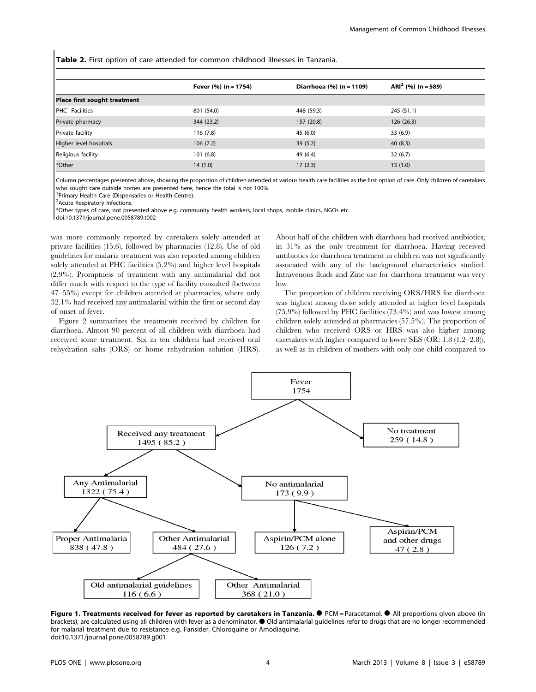Table 2. First option of care attended for common childhood illnesses in Tanzania.

|                              | Fever (%) (n = 1754) | Diarrhoea (%) (n = 1109) | ARI <sup>2</sup> (%) (n = 589) |
|------------------------------|----------------------|--------------------------|--------------------------------|
| Place first sought treatment |                      |                          |                                |
| $PHC1$ Facilities            | 801 (54.0)           | 448 (59.3)               | 245 (51.1)                     |
| Private pharmacy             | 344 (23.2)           | 157 (20.8)               | 126(26.3)                      |
| Private facility             | 116(7.8)             | 45 (6.0)                 | 33(6.9)                        |
| Higher level hospitals       | 106(7.2)             | 39(5.2)                  | 40(8.3)                        |
| Religious facility           | 101(6.8)             | 49 (6.4)                 | 32(6.7)                        |
| *Other                       | 14(1.0)              | 17(2.3)                  | 13(1.0)                        |

Column percentages presented above, showing the proportion of children attended at various health care facilities as the first option of care. Only children of caretakers who sought care outside homes are presented here, hence the total is not 100%.

<sup>1</sup> Primary Health Care (Dispensaries or Health Centre).

<sup>2</sup> Acute Respiratory Infections.

\*Other types of care, not presented above e.g. community health workers, local shops, mobile clinics, NGOs etc.

doi:10.1371/journal.pone.0058789.t002

was more commonly reported by caretakers solely attended at private facilities (15.6), followed by pharmacies (12.8). Use of old guidelines for malaria treatment was also reported among children solely attended at PHC facilities (5.2%) and higher level hospitals (2.9%). Promptness of treatment with any antimalarial did not differ much with respect to the type of facility consulted (between 47–55%) except for children attended at pharmacies, where only 32.1% had received any antimalarial within the first or second day of onset of fever.

Figure 2 summarizes the treatments received by children for diarrhoea. Almost 90 percent of all children with diarrhoea had received some treatment. Six in ten children had received oral rehydration salts (ORS) or home rehydration solution (HRS). About half of the children with diarrhoea had received antibiotics; in 31% as the only treatment for diarrhoea. Having received antibiotics for diarrhoea treatment in children was not significantly associated with any of the background characteristics studied. Intravenous fluids and Zinc use for diarrhoea treatment was very low.

The proportion of children receiving ORS/HRS for diarrhoea was highest among those solely attended at higher level hospitals (75.9%) followed by PHC facilities (73.4%) and was lowest among children solely attended at pharmacies (57.5%). The proportion of children who received ORS or HRS was also higher among caretakers with higher compared to lower SES (OR: 1.8 (1.2–2.8)), as well as in children of mothers with only one child compared to



Figure 1. Treatments received for fever as reported by caretakers in Tanzania. I PCM = Paracetamol. I All proportions given above (in brackets), are calculated using all children with fever as a denominator.  $\bullet$  Old antimalarial guidelines refer to drugs that are no longer recommended for malarial treatment due to resistance e.g. Fansider, Chloroquine or Amodiaquine. doi:10.1371/journal.pone.0058789.g001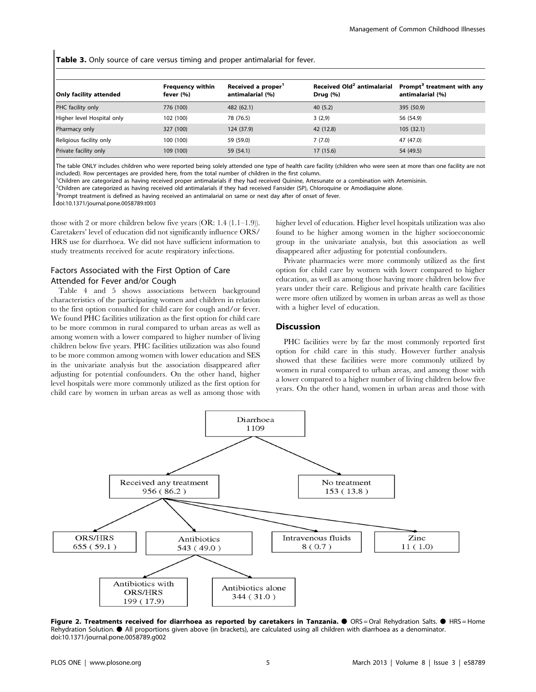Table 3. Only source of care versus timing and proper antimalarial for fever.

| Only facility attended     | <b>Frequency within</b><br>fever (%) | Received a proper <sup>1</sup><br>antimalarial (%) | Received Old <sup>2</sup> antimalarial<br>Drug $(% )$ | Prompt <sup>3</sup> treatment with any<br>antimalarial (%) |
|----------------------------|--------------------------------------|----------------------------------------------------|-------------------------------------------------------|------------------------------------------------------------|
| PHC facility only          | 776 (100)                            | 482 (62.1)                                         | 40(5.2)                                               | 395 (50.9)                                                 |
| Higher level Hospital only | 102 (100)                            | 78 (76.5)                                          | 3(2,9)                                                | 56 (54.9)                                                  |
| Pharmacy only              | 327 (100)                            | 124 (37.9)                                         | 42 (12.8)                                             | 105(32.1)                                                  |
| Religious facility only    | 100 (100)                            | 59 (59.0)                                          | 7(7.0)                                                | 47 (47.0)                                                  |
| Private facility only      | 109 (100)                            | 59 (54.1)                                          | 17(15.6)                                              | 54 (49.5)                                                  |

The table ONLY includes children who were reported being solely attended one type of health care facility (children who were seen at more than one facility are not included). Row percentages are provided here, from the total number of children in the first column.

<sup>1</sup>Children are categorized as having received proper antimalarials if they had received Quinine, Artesunate or a combination with Artemisinin.

<sup>2</sup>Children are categorized as having received old antimalarials if they had received Fansider (SP), Chloroquine or Amodiaquine alone.

<sup>3</sup>Prompt treatment is defined as having received an antimalarial on same or next day after of onset of fever.

doi:10.1371/journal.pone.0058789.t003

those with 2 or more children below five years (OR: 1.4 (1.1–1.9)). Caretakers' level of education did not significantly influence ORS/ HRS use for diarrhoea. We did not have sufficient information to study treatments received for acute respiratory infections.

# Factors Associated with the First Option of Care Attended for Fever and/or Cough

Table 4 and 5 shows associations between background characteristics of the participating women and children in relation to the first option consulted for child care for cough and/or fever. We found PHC facilities utilization as the first option for child care to be more common in rural compared to urban areas as well as among women with a lower compared to higher number of living children below five years. PHC facilities utilization was also found to be more common among women with lower education and SES in the univariate analysis but the association disappeared after adjusting for potential confounders. On the other hand, higher level hospitals were more commonly utilized as the first option for child care by women in urban areas as well as among those with higher level of education. Higher level hospitals utilization was also found to be higher among women in the higher socioeconomic group in the univariate analysis, but this association as well disappeared after adjusting for potential confounders.

Private pharmacies were more commonly utilized as the first option for child care by women with lower compared to higher education, as well as among those having more children below five years under their care. Religious and private health care facilities were more often utilized by women in urban areas as well as those with a higher level of education.

#### Discussion

PHC facilities were by far the most commonly reported first option for child care in this study. However further analysis showed that these facilities were more commonly utilized by women in rural compared to urban areas, and among those with a lower compared to a higher number of living children below five years. On the other hand, women in urban areas and those with



Figure 2. Treatments received for diarrhoea as reported by caretakers in Tanzania. <sup>●</sup> ORS=Oral Rehydration Salts. ●<br>Rehydration Solution. ● All proportions given above (in brackets), are calculated using all children with doi:10.1371/journal.pone.0058789.g002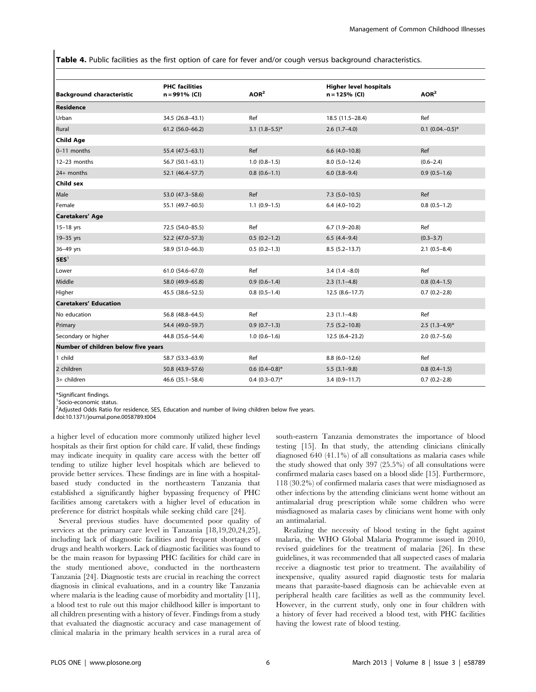Table 4. Public facilities as the first option of care for fever and/or cough versus background characteristics.

| <b>Background characteristic</b>    | <b>PHC facilities</b><br>n = 991% (CI) | AOR <sup>2</sup>    | <b>Higher level hospitals</b><br>$n = 125%$ (CI) | AOR <sup>2</sup>      |
|-------------------------------------|----------------------------------------|---------------------|--------------------------------------------------|-----------------------|
| <b>Residence</b>                    |                                        |                     |                                                  |                       |
| Urban                               | 34.5 (26.8-43.1)                       | Ref                 | 18.5 (11.5-28.4)                                 | Ref                   |
| Rural                               | $61.2$ (56.0-66.2)                     | 3.1 $(1.8-5.5)^*$   | $2.6(1.7-4.0)$                                   | $0.1$ $(0.04,-0.5)$ * |
| <b>Child Age</b>                    |                                        |                     |                                                  |                       |
| 0-11 months                         | 55.4 (47.5-63.1)                       | Ref                 | $6.6$ $(4.0-10.8)$                               | Ref                   |
| 12-23 months                        | $56.7(50.1 - 63.1)$                    | $1.0(0.8-1.5)$      | $8.0(5.0-12.4)$                                  | $(0.6 - 2.4)$         |
| 24+ months                          | 52.1 (46.4-57.7)                       | $0.8(0.6-1.1)$      | $6.0$ $(3.8-9.4)$                                | $0.9(0.5-1.6)$        |
| Child sex                           |                                        |                     |                                                  |                       |
| Male                                | 53.0 (47.3-58.6)                       | Ref                 | $7.3$ (5.0-10.5)                                 | Ref                   |
| Female                              | 55.1 (49.7-60.5)                       | $1.1(0.9-1.5)$      | $6.4(4.0-10.2)$                                  | $0.8(0.5-1.2)$        |
| Caretakers' Age                     |                                        |                     |                                                  |                       |
| $15-18$ yrs                         | 72.5 (54.0-85.5)                       | Ref                 | $6.7(1.9-20.8)$                                  | Ref                   |
| 19-35 yrs                           | 52.2 (47.0-57.3)                       | $0.5(0.2-1.2)$      | $6.5(4.4-9.4)$                                   | $(0.3 - 3.7)$         |
| 36-49 yrs                           | 58.9 (51.0-66.3)                       | $0.5(0.2-1.3)$      | $8.5(5.2 - 13.7)$                                | $2.1(0.5-8.4)$        |
| SES <sup>1</sup>                    |                                        |                     |                                                  |                       |
| Lower                               | $61.0(54.6 - 67.0)$                    | Ref                 | $3.4(1.4 - 8.0)$                                 | Ref                   |
| Middle                              | 58.0 (49.9-65.8)                       | $0.9(0.6-1.4)$      | $2.3(1.1-4.8)$                                   | $0.8(0.4-1.5)$        |
| Higher                              | 45.5 (38.6-52.5)                       | $0.8$ $(0.5-1.4)$   | $12.5(8.6 - 17.7)$                               | $0.7(0.2-2.8)$        |
| <b>Caretakers' Education</b>        |                                        |                     |                                                  |                       |
| No education                        | 56.8 (48.8-64.5)                       | Ref                 | $2.3(1.1-4.8)$                                   | Ref                   |
| Primary                             | 54.4 (49.0-59.7)                       | $0.9(0.7-1.3)$      | $7.5(5.2-10.8)$                                  | $2.5(1.3-4.9)$ *      |
| Secondary or higher                 | 44.8 (35.6-54.4)                       | $1.0(0.6-1.6)$      | 12.5 (6.4-23.2)                                  | $2.0(0.7-5.6)$        |
| Number of children below five years |                                        |                     |                                                  |                       |
| 1 child                             | 58.7 (53.3-63.9)                       | Ref                 | $8.8(6.0-12.6)$                                  | Ref                   |
| 2 children                          | 50.8 (43.9-57.6)                       | $0.6$ $(0.4-0.8)$ * | $5.5(3.1-9.8)$                                   | $0.8(0.4-1.5)$        |
| 3+ children                         | 46.6 (35.1-58.4)                       | $0.4$ $(0.3-0.7)$ * | $3.4(0.9 - 11.7)$                                | $0.7(0.2-2.8)$        |

\*Significant findings.

1 Socio-economic status.

<sup>2</sup>Adjusted Odds Ratio for residence, SES, Education and number of living children below five years.

doi:10.1371/journal.pone.0058789.t004

a higher level of education more commonly utilized higher level hospitals as their first option for child care. If valid, these findings may indicate inequity in quality care access with the better off tending to utilize higher level hospitals which are believed to provide better services. These findings are in line with a hospitalbased study conducted in the northeastern Tanzania that established a significantly higher bypassing frequency of PHC facilities among caretakers with a higher level of education in preference for district hospitals while seeking child care [24].

Several previous studies have documented poor quality of services at the primary care level in Tanzania [18,19,20,24,25], including lack of diagnostic facilities and frequent shortages of drugs and health workers. Lack of diagnostic facilities was found to be the main reason for bypassing PHC facilities for child care in the study mentioned above, conducted in the northeastern Tanzania [24]. Diagnostic tests are crucial in reaching the correct diagnosis in clinical evaluations, and in a country like Tanzania where malaria is the leading cause of morbidity and mortality [11], a blood test to rule out this major childhood killer is important to all children presenting with a history of fever. Findings from a study that evaluated the diagnostic accuracy and case management of clinical malaria in the primary health services in a rural area of south-eastern Tanzania demonstrates the importance of blood testing [15]. In that study, the attending clinicians clinically diagnosed 640 (41.1%) of all consultations as malaria cases while the study showed that only 397 (25.5%) of all consultations were confirmed malaria cases based on a blood slide [15]. Furthermore, 118 (30.2%) of confirmed malaria cases that were misdiagnosed as other infections by the attending clinicians went home without an antimalarial drug prescription while some children who were misdiagnosed as malaria cases by clinicians went home with only an antimalarial.

Realizing the necessity of blood testing in the fight against malaria, the WHO Global Malaria Programme issued in 2010, revised guidelines for the treatment of malaria [26]. In these guidelines, it was recommended that all suspected cases of malaria receive a diagnostic test prior to treatment. The availability of inexpensive, quality assured rapid diagnostic tests for malaria means that parasite-based diagnosis can be achievable even at peripheral health care facilities as well as the community level. However, in the current study, only one in four children with a history of fever had received a blood test, with PHC facilities having the lowest rate of blood testing.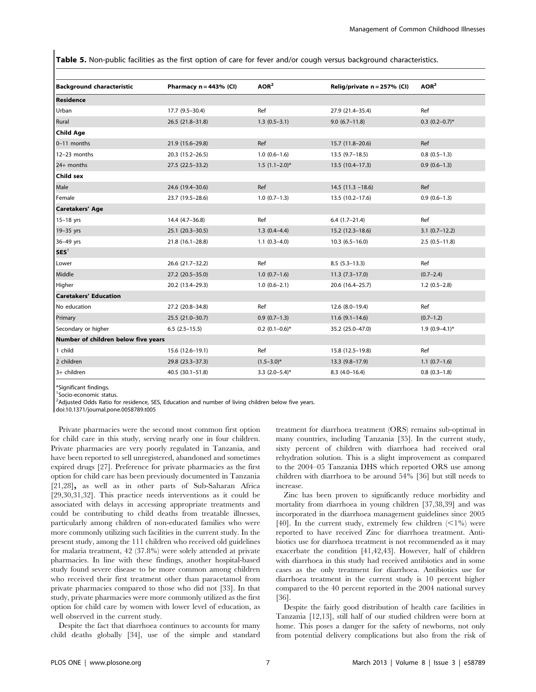Table 5. Non-public facilities as the first option of care for fever and/or cough versus background characteristics.

| <b>Background characteristic</b>    | Pharmacy $n = 443%$ (CI) | AOR <sup>2</sup>  | Relig/private n = 257% (CI) | AOR <sup>2</sup>    |
|-------------------------------------|--------------------------|-------------------|-----------------------------|---------------------|
| <b>Residence</b>                    |                          |                   |                             |                     |
| Urban                               | 17.7 (9.5-30.4)          | Ref               | 27.9 (21.4-35.4)            | Ref                 |
| Rural                               | 26.5 (21.8-31.8)         | $1.3(0.5-3.1)$    | $9.0(6.7-11.8)$             | $0.3$ $(0.2-0.7)$ * |
| <b>Child Age</b>                    |                          |                   |                             |                     |
| 0-11 months                         | 21.9 (15.6-29.8)         | Ref               | 15.7 (11.8-20.6)            | Ref                 |
| 12-23 months                        | $20.3(15.2 - 26.5)$      | $1.0(0.6-1.6)$    | $13.5(9.7-18.5)$            | $0.8(0.5-1.3)$      |
| 24+ months                          | 27.5 (22.5-33.2)         | $1.5(1.1-2.0)$ *  | 13.5 (10.4-17.3)            | $0.9(0.6-1.3)$      |
| Child sex                           |                          |                   |                             |                     |
| Male                                | 24.6 (19.4-30.6)         | Ref               | $14.5(11.3 - 18.6)$         | Ref                 |
| Female                              | 23.7 (19.5-28.6)         | $1.0(0.7-1.3)$    | 13.5 (10.2-17.6)            | $0.9(0.6-1.3)$      |
| <b>Caretakers' Age</b>              |                          |                   |                             |                     |
| $15-18$ yrs                         | 14.4 (4.7-36.8)          | Ref               | $6.4(1.7-21.4)$             | Ref                 |
| 19-35 yrs                           | 25.1 (20.3-30.5)         | $1.3(0.4-4.4)$    | 15.2 (12.3-18.6)            | $3.1(0.7-12.2)$     |
| 36-49 yrs                           | 21.8 (16.1-28.8)         | $1.1(0.3-4.0)$    | $10.3(6.5-16.0)$            | $2.5(0.5-11.8)$     |
| SES <sup>1</sup>                    |                          |                   |                             |                     |
| Lower                               | 26.6 (21.7-32.2)         | Ref               | $8.5(5.3-13.3)$             | Ref                 |
| Middle                              | 27.2 (20.5-35.0)         | $1.0(0.7-1.6)$    | $11.3(7.3-17.0)$            | $(0.7 - 2.4)$       |
| Higher                              | 20.2 (13.4-29.3)         | $1.0(0.6-2.1)$    | 20.6 (16.4-25.7)            | $1.2(0.5-2.8)$      |
| <b>Caretakers' Education</b>        |                          |                   |                             |                     |
| No education                        | 27.2 (20.8-34.8)         | Ref               | $12.6(8.0-19.4)$            | Ref                 |
| Primary                             | 25.5 (21.0-30.7)         | $0.9(0.7-1.3)$    | $11.6(9.1-14.6)$            | $(0.7 - 1.2)$       |
| Secondary or higher                 | $6.5(2.5-15.5)$          | $0.2$ (0.1-0.6)*  | 35.2 (25.0-47.0)            | $1.9(0.9-4.1)$ *    |
| Number of children below five years |                          |                   |                             |                     |
| 1 child                             | 15.6 (12.6-19.1)         | Ref               | 15.8 (12.5-19.8)            | Ref                 |
| 2 children                          | 29.8 (23.3-37.3)         | $(1.5 - 3.0)^*$   | 13.3 (9.8-17.9)             | $1.1$ $(0.7-1.6)$   |
| 3+ children                         | $40.5(30.1 - 51.8)$      | 3.3 $(2.0-5.4)$ * | $8.3(4.0-16.4)$             | $0.8(0.3-1.8)$      |

\*Significant findings.

1 Socio-economic status.

<sup>2</sup>Adjusted Odds Ratio for residence, SES, Education and number of living children below five years.

doi:10.1371/journal.pone.0058789.t005

Private pharmacies were the second most common first option for child care in this study, serving nearly one in four children. Private pharmacies are very poorly regulated in Tanzania, and have been reported to sell unregistered, abandoned and sometimes expired drugs [27]. Preference for private pharmacies as the first option for child care has been previously documented in Tanzania [21,28], as well as in other parts of Sub-Saharan Africa [29,30,31,32]. This practice needs interventions as it could be associated with delays in accessing appropriate treatments and could be contributing to child deaths from treatable illnesses, particularly among children of non-educated families who were more commonly utilizing such facilities in the current study. In the present study, among the 111 children who received old guidelines for malaria treatment, 42 (37.8%) were solely attended at private pharmacies. In line with these findings, another hospital-based study found severe disease to be more common among children who received their first treatment other than paracetamol from private pharmacies compared to those who did not [33]. In that study, private pharmacies were more commonly utilized as the first option for child care by women with lower level of education, as well observed in the current study.

Despite the fact that diarrhoea continues to accounts for many child deaths globally [34], use of the simple and standard treatment for diarrhoea treatment (ORS) remains sub-optimal in many countries, including Tanzania [35]. In the current study, sixty percent of children with diarrhoea had received oral rehydration solution. This is a slight improvement as compared to the 2004–05 Tanzania DHS which reported ORS use among children with diarrhoea to be around 54% [36] but still needs to increase.

Zinc has been proven to significantly reduce morbidity and mortality from diarrhoea in young children [37,38,39] and was incorporated in the diarrhoea management guidelines since 2005 [40]. In the current study, extremely few children  $\langle$ 1%) were reported to have received Zinc for diarrhoea treatment. Antibiotics use for diarrhoea treatment is not recommended as it may exacerbate the condition [41,42,43]. However, half of children with diarrhoea in this study had received antibiotics and in some cases as the only treatment for diarrhoea. Antibiotics use for diarrhoea treatment in the current study is 10 percent higher compared to the 40 percent reported in the 2004 national survey [36].

Despite the fairly good distribution of health care facilities in Tanzania [12,13], still half of our studied children were born at home. This poses a danger for the safety of newborns, not only from potential delivery complications but also from the risk of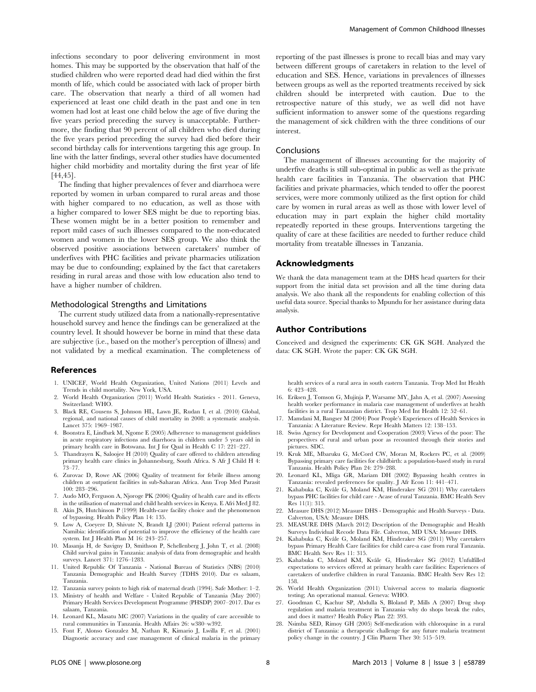infections secondary to poor delivering environment in most homes. This may be supported by the observation that half of the studied children who were reported dead had died within the first month of life, which could be associated with lack of proper birth care. The observation that nearly a third of all women had experienced at least one child death in the past and one in ten women had lost at least one child below the age of five during the five years period preceding the survey is unacceptable. Furthermore, the finding that 90 percent of all children who died during the five years period preceding the survey had died before their second birthday calls for interventions targeting this age group. In line with the latter findings, several other studies have documented higher child morbidity and mortality during the first year of life [44,45].

The finding that higher prevalences of fever and diarrhoea were reported by women in urban compared to rural areas and those with higher compared to no education, as well as those with a higher compared to lower SES might be due to reporting bias. These women might be in a better position to remember and report mild cases of such illnesses compared to the non-educated women and women in the lower SES group. We also think the observed positive associations between caretakers' number of underfives with PHC facilities and private pharmacies utilization may be due to confounding; explained by the fact that caretakers residing in rural areas and those with low education also tend to have a higher number of children.

## Methodological Strengths and Limitations

The current study utilized data from a nationally-representative household survey and hence the findings can be generalized at the country level. It should however be borne in mind that these data are subjective (i.e., based on the mother's perception of illness) and not validated by a medical examination. The completeness of

#### References

- 1. UNICEF, World Health Organization, United Nations (2011) Levels and Trends in child mortality. New York, USA.
- 2. World Health Organization (2011) World Health Statistics 2011. Geneva, Switzerland: WHO.
- 3. Black RE, Cousens S, Johnson HL, Lawn JE, Rudan I, et al. (2010) Global, regional, and national causes of child mortality in 2008: a systematic analysis. Lancet 375: 1969–1987.
- 4. Boonstra E, Lindbæk M, Ngome E (2005) Adherence to management guidelines in acute respiratory infections and diarrhoea in children under 5 years old in primary health care in Botswana. Int J for Qual in Health C 17: 221–227.
- 5. Thandrayen K, Saloojee H (2010) Quality of care offered to children attending primary health care clinics in Johannesburg, South Africa. S Afr J Child H 4: 73–77.
- 6. Zurovac D, Rowe AK (2006) Quality of treatment for febrile illness among children at outpatient facilities in sub-Saharan Africa. Ann Trop Med Parasit 100: 283–296.
- 7. Audo MO, Ferguson A, Njoroge PK (2006) Quality of health care and its effects in the utilisation of maternal and child health services in Kenya. E Afri Med J 82.
- 8. Akin JS, Hutchinson P (1999) Health-care facility choice and the phenomenon of bypassing. Health Policy Plan 14: 135.
- 9. Low A, Coeyere D, Shivute N, Brandt LJ (2001) Patient referral patterns in Namibia: identification of potential to improve the efficiency of the health care system. Int J Health Plan M 16: 243–257.
- 10. Masanja H, de Savigny D, Smithson P, Schellenberg J, John T, et al. (2008) Child survival gains in Tanzania: analysis of data from demographic and health surveys. Lancet 371: 1276–1283.
- 11. United Republic Of Tanzania National Bureau of Statistics (NBS) (2010) Tanzania Demographic and Health Survey (TDHS 2010). Dar es salaam, Tanzania.
- 12. Tanzania survey points to high risk of maternal death (1994). Safe Mother: 1–2.
- 13. Ministry of health and Welfare United Republic of Tanzania (May 2007) Primary Health Services Development Programme (PHSDP) 2007–2017. Dar es salaam, Tanzania.
- 14. Leonard KL, Masatu MC (2007) Variations in the quality of care accessible to rural communities in Tanzania. Health Affairs 26: w380–w392.
- 15. Font F, Alonso Gonzalez M, Nathan R, Kimario J, Lwilla F, et al. (2001) Diagnostic accuracy and case management of clinical malaria in the primary

reporting of the past illnesses is prone to recall bias and may vary between different groups of caretakers in relation to the level of education and SES. Hence, variations in prevalences of illnesses between groups as well as the reported treatments received by sick children should be interpreted with caution. Due to the retrospective nature of this study, we as well did not have sufficient information to answer some of the questions regarding the management of sick children with the three conditions of our interest.

#### Conclusions

The management of illnesses accounting for the majority of underfive deaths is still sub-optimal in public as well as the private health care facilities in Tanzania. The observation that PHC facilities and private pharmacies, which tended to offer the poorest services, were more commonly utilized as the first option for child care by women in rural areas as well as those with lower level of education may in part explain the higher child mortality repeatedly reported in these groups. Interventions targeting the quality of care at these facilities are needed to further reduce child mortality from treatable illnesses in Tanzania.

## Acknowledgments

We thank the data management team at the DHS head quarters for their support from the initial data set provision and all the time during data analysis. We also thank all the respondents for enabling collection of this useful data source. Special thanks to Mpundu for her assistance during data analysis.

## Author Contributions

Conceived and designed the experiments: CK GK SGH. Analyzed the data: CK SGH. Wrote the paper: CK GK SGH.

health services of a rural area in south eastern Tanzania. Trop Med Int Health 6: 423–428.

- 16. Eriksen J, Tomson G, Mujinja P, Warsame MY, Jahn A, et al. (2007) Assessing health worker performance in malaria case management of underfives at health facilities in a rural Tanzanian district. Trop Med Int Health 12: 52–61.
- 17. Mamdani M, Bangser M (2004) Poor People's Experiences of Health Services in Tanzania: A Literature Review. Repr Health Matters 12: 138–153.
- 18. Swiss Agency for Development and Cooperation (2003) Views of the poor: The perspectives of rural and urban poor as recounted through their stories and pictures. SDC.
- 19. Kruk ME, Mbaruku G, McCord CW, Moran M, Rockers PC, et al. (2009) Bypassing primary care facilities for childbirth: a population-based study in rural Tanzania. Health Policy Plan 24: 279–288.
- 20. Leonard KL, Mliga GR, Mariam DH (2002) Bypassing health centres in Tanzania: revealed preferences for quality. J Afr Econ 11: 441–471.
- 21. Kahabuka C, Kvåle G, Moland KM, Hinderaker SG (2011) Why caretakers bypass PHC facilities for child care - Acase of rural Tanzania. BMC Health Serv Res 11(1): 315.
- 22. Measure DHS (2012) Measure DHS Demographic and Health Surveys Data. Calverton, USA: Measure DHS.
- 23. MEASURE DHS (March 2012) Description of the Demographic and Health Surveys Individual Recode Data File. Calverton, MD USA: Measure DHS.
- Kahabuka C, Kvåle G, Moland KM, Hinderaker SG (2011) Why caretakers bypass Primary Health Care facilities for child care-a case from rural Tanzania. BMC Health Serv Res 11: 315.
- 25. Kahabuka C, Moland KM, Kvåle G, Hinderaker SG (2012) Unfulfilled expectations to services offered at primary health care facilities: Experiences of caretakers of underfive children in rural Tanzania. BMC Health Serv Res 12: 158.
- 26. World Health Organization (2011) Universal access to malaria diagnostic testing; An operational manual. Geneva: WHO.
- 27. Goodman C, Kachur SP, Abdulla S, Bloland P, Mills A (2007) Drug shop regulation and malaria treatment in Tanzania–why do shops break the rules, and does it matter? Health Policy Plan 22: 393.
- 28. Nsimba SED, Rimoy GH (2005) Self-medication with chloroquine in a rural district of Tanzania: a therapeutic challenge for any future malaria treatment policy change in the country. J Clin Pharm Ther 30: 515–519.